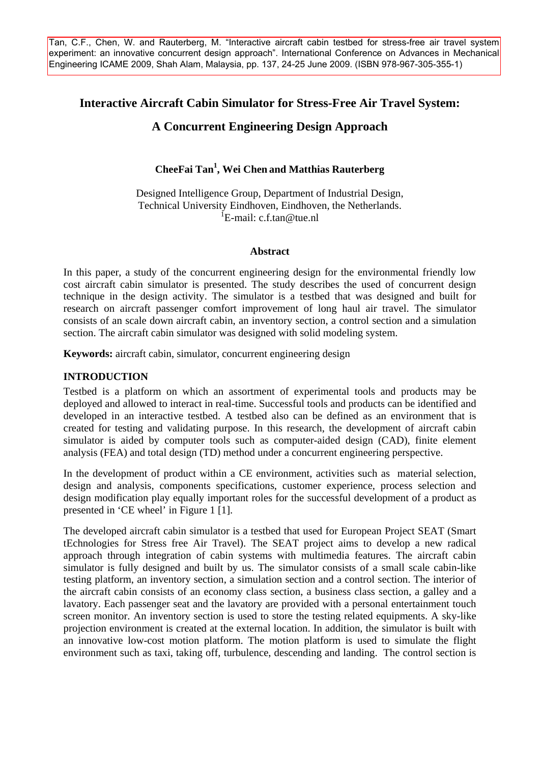Tan, C.F., Chen, W. and Rauterberg, M. "Interactive aircraft cabin testbed for stress-free air travel system experiment: an innovative concurrent design approach". International Conference on Advances in Mechanical Engineering ICAME 2009, Shah Alam, Malaysia, pp. 137, 24-25 June 2009. (ISBN 978-967-305-355-1)

## **Interactive Aircraft Cabin Simulator for Stress-Free Air Travel System:**

# **A Concurrent Engineering Design Approach**

## **CheeFai Tan1 , Wei Chen and Matthias Rauterberg**

Designed Intelligence Group, Department of Industrial Design, Technical University Eindhoven, Eindhoven, the Netherlands. <sup>I</sup>E-mail: c.f.tan@tue.nl

#### **Abstract**

In this paper, a study of the concurrent engineering design for the environmental friendly low cost aircraft cabin simulator is presented. The study describes the used of concurrent design technique in the design activity. The simulator is a testbed that was designed and built for research on aircraft passenger comfort improvement of long haul air travel. The simulator consists of an scale down aircraft cabin, an inventory section, a control section and a simulation section. The aircraft cabin simulator was designed with solid modeling system.

**Keywords:** aircraft cabin, simulator, concurrent engineering design

### **INTRODUCTION**

Testbed is a platform on which an assortment of experimental tools and products may be deployed and allowed to interact in real-time. Successful tools and products can be identified and developed in an interactive testbed. A testbed also can be defined as an environment that is created for testing and validating purpose. In this research, the development of aircraft cabin simulator is aided by computer tools such as computer-aided design (CAD), finite element analysis (FEA) and total design (TD) method under a concurrent engineering perspective.

In the development of product within a CE environment, activities such as material selection, design and analysis, components specifications, customer experience, process selection and design modification play equally important roles for the successful development of a product as presented in 'CE wheel' in Figure 1 [1].

The developed aircraft cabin simulator is a testbed that used for European Project SEAT (Smart tEchnologies for Stress free Air Travel). The SEAT project aims to develop a new radical approach through integration of cabin systems with multimedia features. The aircraft cabin simulator is fully designed and built by us. The simulator consists of a small scale cabin-like testing platform, an inventory section, a simulation section and a control section. The interior of the aircraft cabin consists of an economy class section, a business class section, a galley and a lavatory. Each passenger seat and the lavatory are provided with a personal entertainment touch screen monitor. An inventory section is used to store the testing related equipments. A sky-like projection environment is created at the external location. In addition, the simulator is built with an innovative low-cost motion platform. The motion platform is used to simulate the flight environment such as taxi, taking off, turbulence, descending and landing. The control section is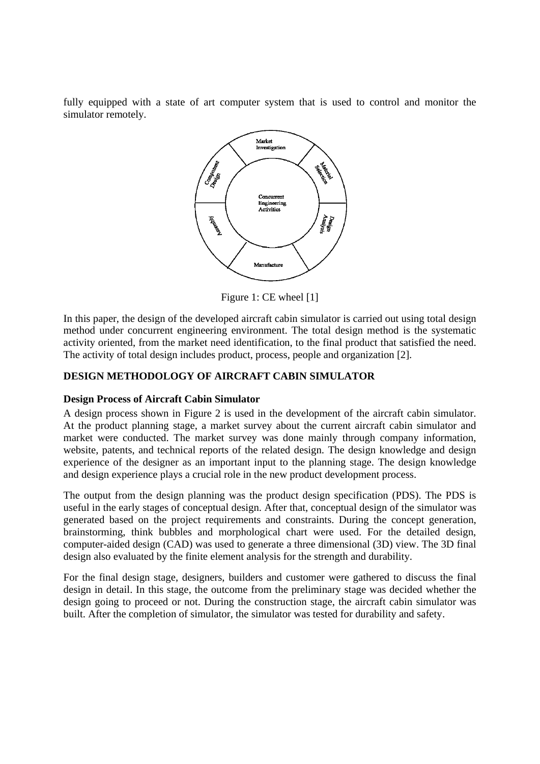fully equipped with a state of art computer system that is used to control and monitor the simulator remotely.



Figure 1: CE wheel [1]

In this paper, the design of the developed aircraft cabin simulator is carried out using total design method under concurrent engineering environment. The total design method is the systematic activity oriented, from the market need identification, to the final product that satisfied the need. The activity of total design includes product, process, people and organization [2].

## **DESIGN METHODOLOGY OF AIRCRAFT CABIN SIMULATOR**

### **Design Process of Aircraft Cabin Simulator**

A design process shown in Figure 2 is used in the development of the aircraft cabin simulator. At the product planning stage, a market survey about the current aircraft cabin simulator and market were conducted. The market survey was done mainly through company information, website, patents, and technical reports of the related design. The design knowledge and design experience of the designer as an important input to the planning stage. The design knowledge and design experience plays a crucial role in the new product development process.

The output from the design planning was the product design specification (PDS). The PDS is useful in the early stages of conceptual design. After that, conceptual design of the simulator was generated based on the project requirements and constraints. During the concept generation, brainstorming, think bubbles and morphological chart were used. For the detailed design, computer-aided design (CAD) was used to generate a three dimensional (3D) view. The 3D final design also evaluated by the finite element analysis for the strength and durability.

For the final design stage, designers, builders and customer were gathered to discuss the final design in detail. In this stage, the outcome from the preliminary stage was decided whether the design going to proceed or not. During the construction stage, the aircraft cabin simulator was built. After the completion of simulator, the simulator was tested for durability and safety.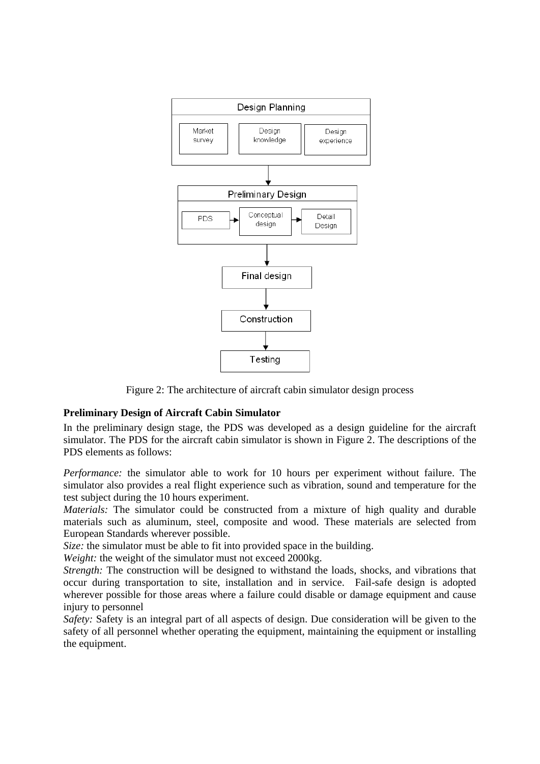

Figure 2: The architecture of aircraft cabin simulator design process

### **Preliminary Design of Aircraft Cabin Simulator**

In the preliminary design stage, the PDS was developed as a design guideline for the aircraft simulator. The PDS for the aircraft cabin simulator is shown in Figure 2. The descriptions of the PDS elements as follows:

*Performance:* the simulator able to work for 10 hours per experiment without failure. The simulator also provides a real flight experience such as vibration, sound and temperature for the test subject during the 10 hours experiment.

*Materials:* The simulator could be constructed from a mixture of high quality and durable materials such as aluminum, steel, composite and wood. These materials are selected from European Standards wherever possible.

*Size:* the simulator must be able to fit into provided space in the building.

*Weight:* the weight of the simulator must not exceed 2000kg.

*Strength:* The construction will be designed to withstand the loads, shocks, and vibrations that occur during transportation to site, installation and in service. Fail-safe design is adopted wherever possible for those areas where a failure could disable or damage equipment and cause injury to personnel

*Safety:* Safety is an integral part of all aspects of design. Due consideration will be given to the safety of all personnel whether operating the equipment, maintaining the equipment or installing the equipment.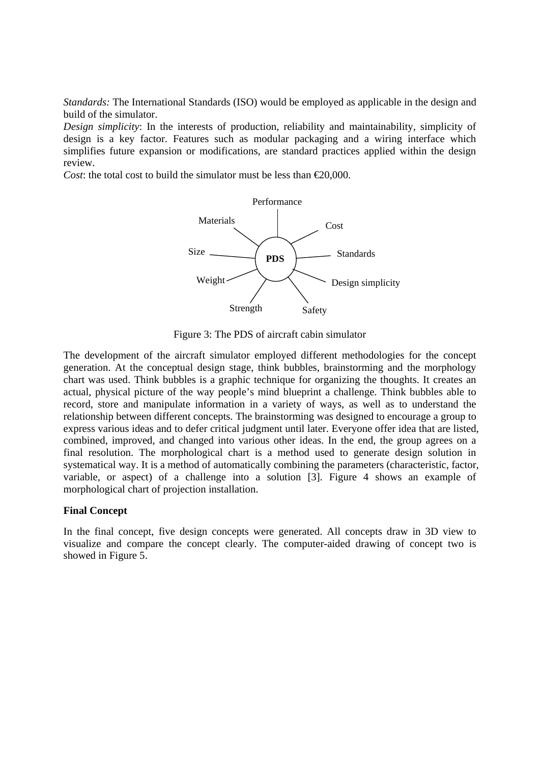*Standards:* The International Standards (ISO) would be employed as applicable in the design and build of the simulator.

*Design simplicity*: In the interests of production, reliability and maintainability, simplicity of design is a key factor. Features such as modular packaging and a wiring interface which simplifies future expansion or modifications, are standard practices applied within the design review.

*Cost*: the total cost to build the simulator must be less than  $\in 20,000$ .



Figure 3: The PDS of aircraft cabin simulator

The development of the aircraft simulator employed different methodologies for the concept generation. At the conceptual design stage, think bubbles, brainstorming and the morphology chart was used. Think bubbles is a graphic technique for organizing the thoughts. It creates an actual, physical picture of the way people's mind blueprint a challenge. Think bubbles able to record, store and manipulate information in a variety of ways, as well as to understand the relationship between different concepts. The brainstorming was designed to encourage a group to express various ideas and to defer critical judgment until later. Everyone offer idea that are listed, combined, improved, and changed into various other ideas. In the end, the group agrees on a final resolution. The morphological chart is a method used to generate design solution in systematical way. It is a method of automatically combining the parameters (characteristic, factor, variable, or aspect) of a challenge into a solution [3]. Figure 4 shows an example of morphological chart of projection installation.

#### **Final Concept**

In the final concept, five design concepts were generated. All concepts draw in 3D view to visualize and compare the concept clearly. The computer-aided drawing of concept two is showed in Figure 5.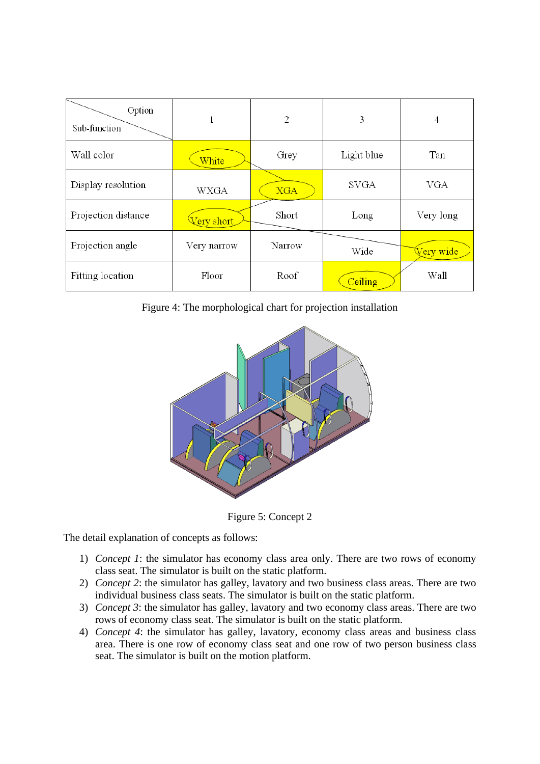| Option<br>Sub-function | 1           | $\overline{2}$ | 3           | 4                      |
|------------------------|-------------|----------------|-------------|------------------------|
| Wall color             | White       | Grey           | Light blue  | Tan                    |
| Display resolution     | <b>WXGA</b> | <b>XGA</b>     | <b>SVGA</b> | VGA                    |
| Projection distance    | Very short  | Short          | Long        | Very long              |
| Projection angle       | Very narrow | Narrow         | Wide        | <mark>√ery wide</mark> |
| Fitting location       | Floor       | Roof           | Ceiling     | Wall                   |

Figure 4: The morphological chart for projection installation



Figure 5: Concept 2

The detail explanation of concepts as follows:

- 1) *Concept 1*: the simulator has economy class area only. There are two rows of economy class seat. The simulator is built on the static platform.
- 2) *Concept 2*: the simulator has galley, lavatory and two business class areas. There are two individual business class seats. The simulator is built on the static platform.
- 3) *Concept 3*: the simulator has galley, lavatory and two economy class areas. There are two rows of economy class seat. The simulator is built on the static platform.
- 4) *Concept 4*: the simulator has galley, lavatory, economy class areas and business class area. There is one row of economy class seat and one row of two person business class seat. The simulator is built on the motion platform.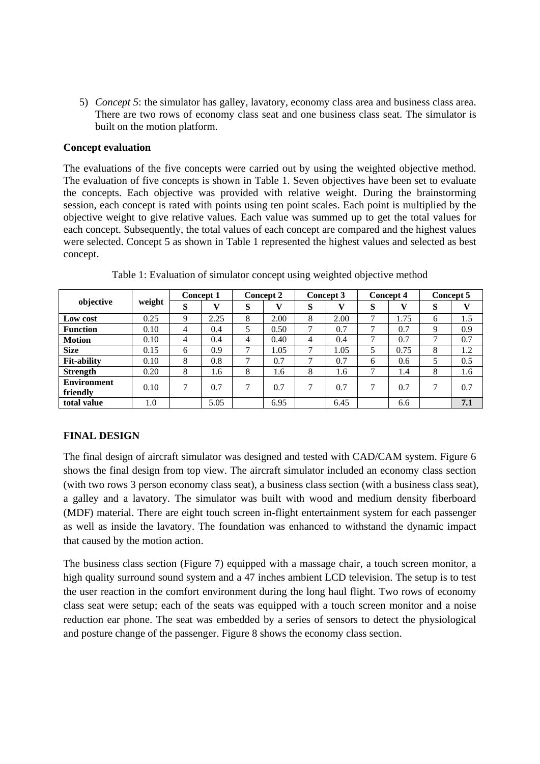5) *Concept 5*: the simulator has galley, lavatory, economy class area and business class area. There are two rows of economy class seat and one business class seat. The simulator is built on the motion platform.

### **Concept evaluation**

The evaluations of the five concepts were carried out by using the weighted objective method. The evaluation of five concepts is shown in Table 1. Seven objectives have been set to evaluate the concepts. Each objective was provided with relative weight. During the brainstorming session, each concept is rated with points using ten point scales. Each point is multiplied by the objective weight to give relative values. Each value was summed up to get the total values for each concept. Subsequently, the total values of each concept are compared and the highest values were selected. Concept 5 as shown in Table 1 represented the highest values and selected as best concept.

| objective          | weight | <b>Concept 1</b> |      | <b>Concept 2</b> |      | Concept 3 |      | <b>Concept 4</b> |      | Concept 5 |     |
|--------------------|--------|------------------|------|------------------|------|-----------|------|------------------|------|-----------|-----|
|                    |        | S                |      | S                |      | S         |      | S                |      | S         |     |
| Low cost           | 0.25   | 9                | 2.25 | 8                | 2.00 | 8         | 2.00 | 7                | 1.75 | 6         | 1.5 |
| <b>Function</b>    | 0.10   | 4                | 0.4  | 5                | 0.50 | 7         | 0.7  | 7                | 0.7  | 9         | 0.9 |
| <b>Motion</b>      | 0.10   | 4                | 0.4  | 4                | 0.40 | 4         | 0.4  | 7                | 0.7  | 7         | 0.7 |
| <b>Size</b>        | 0.15   | 6                | 0.9  | 7                | 1.05 | 7         | 1.05 |                  | 0.75 | 8         | 1.2 |
| <b>Fit-ability</b> | 0.10   | 8                | 0.8  | 7                | 0.7  | 7         | 0.7  | 6                | 0.6  |           | 0.5 |
| <b>Strength</b>    | 0.20   | 8                | 1.6  | 8                | 1.6  | 8         | 1.6  | 7                | 1.4  | 8         | 1.6 |
| <b>Environment</b> | 0.10   | 7                | 0.7  | 7                | 0.7  | 7         | 0.7  | 7                | 0.7  | 7         | 0.7 |
| friendly           |        |                  |      |                  |      |           |      |                  |      |           |     |
| total value        | 1.0    |                  | 5.05 |                  | 6.95 |           | 6.45 |                  | 6.6  |           | 7.1 |

Table 1: Evaluation of simulator concept using weighted objective method

## **FINAL DESIGN**

The final design of aircraft simulator was designed and tested with CAD/CAM system. Figure 6 shows the final design from top view. The aircraft simulator included an economy class section (with two rows 3 person economy class seat), a business class section (with a business class seat), a galley and a lavatory. The simulator was built with wood and medium density fiberboard (MDF) material. There are eight touch screen in-flight entertainment system for each passenger as well as inside the lavatory. The foundation was enhanced to withstand the dynamic impact that caused by the motion action.

The business class section (Figure 7) equipped with a massage chair, a touch screen monitor, a high quality surround sound system and a 47 inches ambient LCD television. The setup is to test the user reaction in the comfort environment during the long haul flight. Two rows of economy class seat were setup; each of the seats was equipped with a touch screen monitor and a noise reduction ear phone. The seat was embedded by a series of sensors to detect the physiological and posture change of the passenger. Figure 8 shows the economy class section.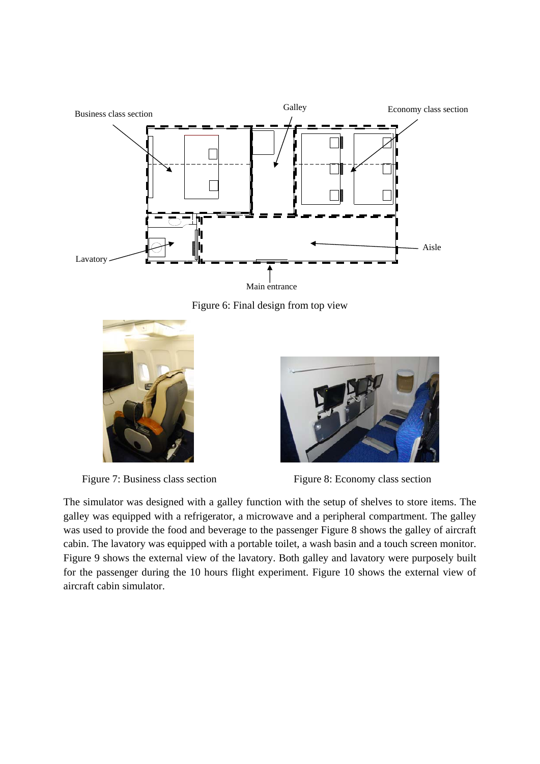

Figure 6: Final design from top view





Figure 7: Business class section Figure 8: Economy class section

The simulator was designed with a galley function with the setup of shelves to store items. The galley was equipped with a refrigerator, a microwave and a peripheral compartment. The galley was used to provide the food and beverage to the passenger Figure 8 shows the galley of aircraft cabin. The lavatory was equipped with a portable toilet, a wash basin and a touch screen monitor. Figure 9 shows the external view of the lavatory. Both galley and lavatory were purposely built for the passenger during the 10 hours flight experiment. Figure 10 shows the external view of aircraft cabin simulator.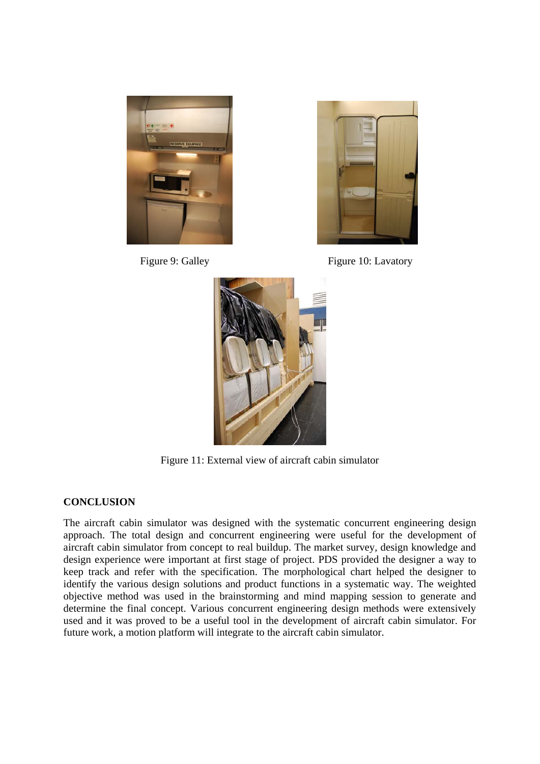



Figure 9: Galley Figure 10: Lavatory



Figure 11: External view of aircraft cabin simulator

### **CONCLUSION**

The aircraft cabin simulator was designed with the systematic concurrent engineering design approach. The total design and concurrent engineering were useful for the development of aircraft cabin simulator from concept to real buildup. The market survey, design knowledge and design experience were important at first stage of project. PDS provided the designer a way to keep track and refer with the specification. The morphological chart helped the designer to identify the various design solutions and product functions in a systematic way. The weighted objective method was used in the brainstorming and mind mapping session to generate and determine the final concept. Various concurrent engineering design methods were extensively used and it was proved to be a useful tool in the development of aircraft cabin simulator. For future work, a motion platform will integrate to the aircraft cabin simulator.